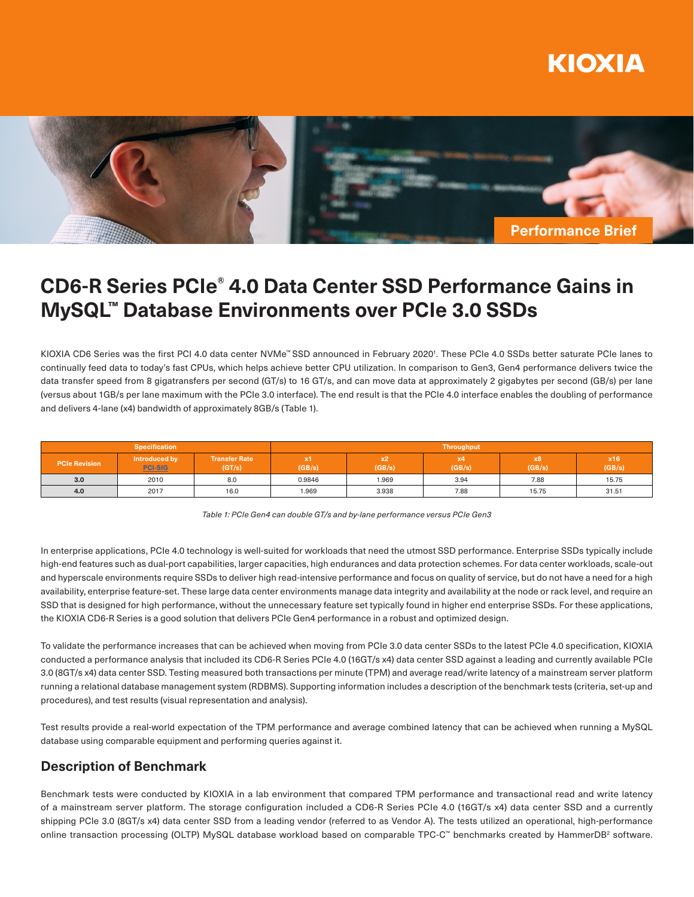



# **CD6-R Series PCIe® 4.0 Data Center SSD Performance Gains in MySQL™ Database Environments over PCIe 3.0 SSDs**

KIOXIA CD6 Series was the first PCI 4.0 data center NVMe™SSD announced in February 2020'. These PCIe 4.0 SSDs better saturate PCIe lanes to continually feed data to today's fast CPUs, which helps achieve better CPU utilization. In comparison to Gen3, Gen4 performance delivers twice the data transfer speed from 8 gigatransfers per second (GT/s) to 16 GT/s, and can move data at approximately 2 gigabytes per second (GB/s) per lane (versus about 1GB/s per lane maximum with the PCIe 3.0 interface). The end result is that the PCIe 4.0 interface enables the doubling of performance and delivers 4-lane (x4) bandwidth of approximately 8GB/s (Table 1).

| <b>Specification</b> |                                 |                                | Throughput   |              |              |              |               |
|----------------------|---------------------------------|--------------------------------|--------------|--------------|--------------|--------------|---------------|
| <b>PCIe Revision</b> | Introduced by<br><b>PCI-SIG</b> | <b>Transfer Rate</b><br>(GT/s) | x1<br>(GB/s) | x2<br>(GB/s) | x4<br>(GB/s) | x8<br>(GB/s) | x16<br>(GB/s) |
| 3.0                  | 2010                            | 8.0                            | 0.9846       | 1.969        | 3.94         | 7.88         | 15.75         |
| 4.0                  | 2017                            | 16.0                           | 1.969        | 3.938        | 7.88         | 15.75        | 31.51         |

*Table 1: PCIe Gen4 can double GT/s and by-lane performance versus PCIe Gen3*

In enterprise applications, PCIe 4.0 technology is well-suited for workloads that need the utmost SSD performance. Enterprise SSDs typically include high-end features such as dual-port capabilities, larger capacities, high endurances and data protection schemes. For data center workloads, scale-out and hyperscale environments require SSDs to deliver high read-intensive performance and focus on quality of service, but do not have a need for a high availability, enterprise feature-set. These large data center environments manage data integrity and availability at the node or rack level, and require an SSD that is designed for high performance, without the unnecessary feature set typically found in higher end enterprise SSDs. For these applications, the KIOXIA CD6-R Series is a good solution that delivers PCIe Gen4 performance in a robust and optimized design.

To validate the performance increases that can be achieved when moving from PCIe 3.0 data center SSDs to the latest PCIe 4.0 specification, KIOXIA conducted a performance analysis that included its CD6-R Series PCIe 4.0 (16GT/s x4) data center SSD against a leading and currently available PCIe 3.0 (8GT/s x4) data center SSD. Testing measured both transactions per minute (TPM) and average read/write latency of a mainstream server platform running a relational database management system (RDBMS). Supporting information includes a description of the benchmark tests (criteria, set-up and procedures), and test results (visual representation and analysis).

Test results provide a real-world expectation of the TPM performance and average combined latency that can be achieved when running a MySQL database using comparable equipment and performing queries against it.

# **Description of Benchmark**

Benchmark tests were conducted by KIOXIA in a lab environment that compared TPM performance and transactional read and write latency of a mainstream server platform. The storage configuration included a CD6-R Series PCIe 4.0 (16GT/s x4) data center SSD and a currently shipping PCIe 3.0 (8GT/s x4) data center SSD from a leading vendor (referred to as Vendor A). The tests utilized an operational, high-performance online transaction processing (OLTP) MySQL database workload based on comparable TPC-C™ benchmarks created by HammerDB<sup>2</sup> software.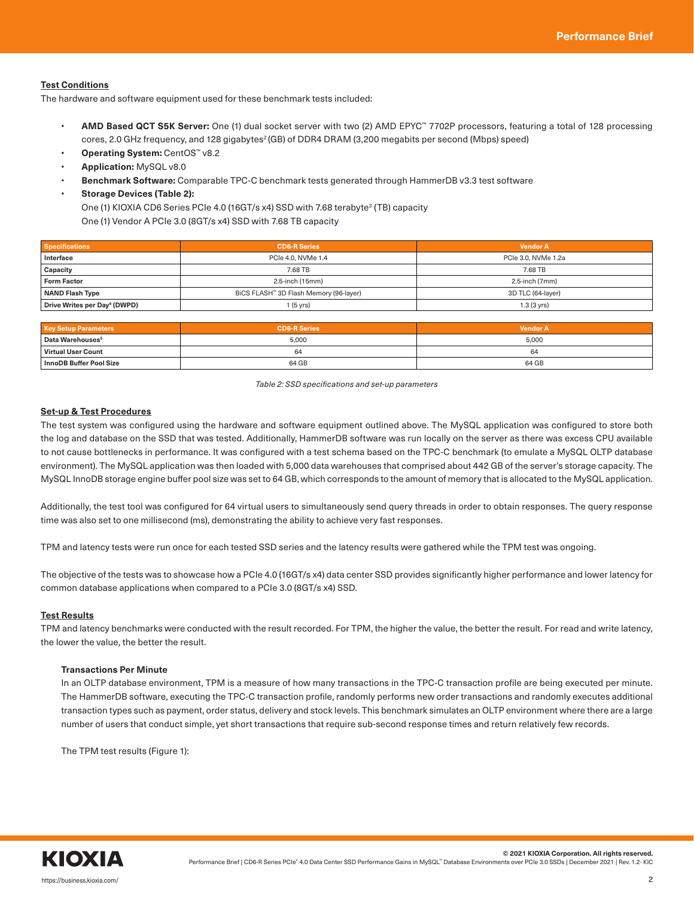## **Test Conditions**

The hardware and software equipment used for these benchmark tests included:

- **AMD Based QCT S5K Server:** One (1) dual socket server with two (2) AMD EPYC™ 7702P processors, featuring a total of 128 processing cores, 2.0 GHz frequency, and 128 gigabytes<sup>2</sup> (GB) of DDR4 DRAM (3,200 megabits per second (Mbps) speed)
- **Operating System:** CentOS™ v8.2
- **Application:** MySQL v8.0
- **Benchmark Software:** Comparable TPC-C benchmark tests generated through HammerDB v3.3 test software
- **Storage Devices (Table 2):**

One (1) KIOXIA CD6 Series PCIe 4.0 (16GT/s x4) SSD with 7.68 terabyte<sup>3</sup> (TB) capacity

One (1) Vendor A PCIe 3.0 (8GT/s x4) SSD with 7.68 TB capacity

| <b>Specifications</b>                    | <b>CD6-R Series</b>                    | <b>Vendor A</b>      |  |
|------------------------------------------|----------------------------------------|----------------------|--|
| Interface                                | PCIe 4.0. NVMe 1.4                     | PCIe 3.0, NVMe 1.2a  |  |
| Capacity                                 | 7.68 TB                                | 7.68 TB              |  |
| <b>Form Factor</b>                       | 2.5-inch (15mm)                        | 2.5-inch (7mm)       |  |
| <b>NAND Flash Type</b>                   | BiCS FLASH™ 3D Flash Memory (96-layer) | 3D TLC (64-layer)    |  |
| Drive Writes per Day <sup>4</sup> (DWPD) | I (5 yrs)                              | $1.3(3 \text{ yrs})$ |  |

| <b>Key Setup Parameters</b>  | <b>CD6-R Series</b> | <b>Vendor A</b> |
|------------------------------|---------------------|-----------------|
| Data Warehouses <sup>5</sup> | 5.000               | 5,000           |
| Virtual User Count           | 64                  | 64              |
| InnoDB Buffer Pool Size      | 64 GB               | 64 GB           |

*Table 2: SSD specifications and set-up parameters*

### **Set-up & Test Procedures**

The test system was configured using the hardware and software equipment outlined above. The MySQL application was configured to store both the log and database on the SSD that was tested. Additionally, HammerDB software was run locally on the server as there was excess CPU available to not cause bottlenecks in performance. It was configured with a test schema based on the TPC-C benchmark (to emulate a MySQL OLTP database environment). The MySQL application was then loaded with 5,000 data warehouses that comprised about 442 GB of the server's storage capacity. The MySQL InnoDB storage engine buffer pool size was set to 64 GB, which corresponds to the amount of memory that is allocated to the MySQL application.

Additionally, the test tool was configured for 64 virtual users to simultaneously send query threads in order to obtain responses. The query response time was also set to one millisecond (ms), demonstrating the ability to achieve very fast responses.

TPM and latency tests were run once for each tested SSD series and the latency results were gathered while the TPM test was ongoing.

The objective of the tests was to showcase how a PCIe 4.0 (16GT/s x4) data center SSD provides significantly higher performance and lower latency for common database applications when compared to a PCIe 3.0 (8GT/s x4) SSD.

#### **Test Results**

TPM and latency benchmarks were conducted with the result recorded. For TPM, the higher the value, the better the result. For read and write latency, the lower the value, the better the result.

#### **Transactions Per Minute**

In an OLTP database environment, TPM is a measure of how many transactions in the TPC-C transaction profile are being executed per minute. The HammerDB software, executing the TPC-C transaction profile, randomly performs new order transactions and randomly executes additional transaction types such as payment, order status, delivery and stock levels. This benchmark simulates an OLTP environment where there are a large number of users that conduct simple, yet short transactions that require sub-second response times and return relatively few records.

The TPM test results (Figure 1):

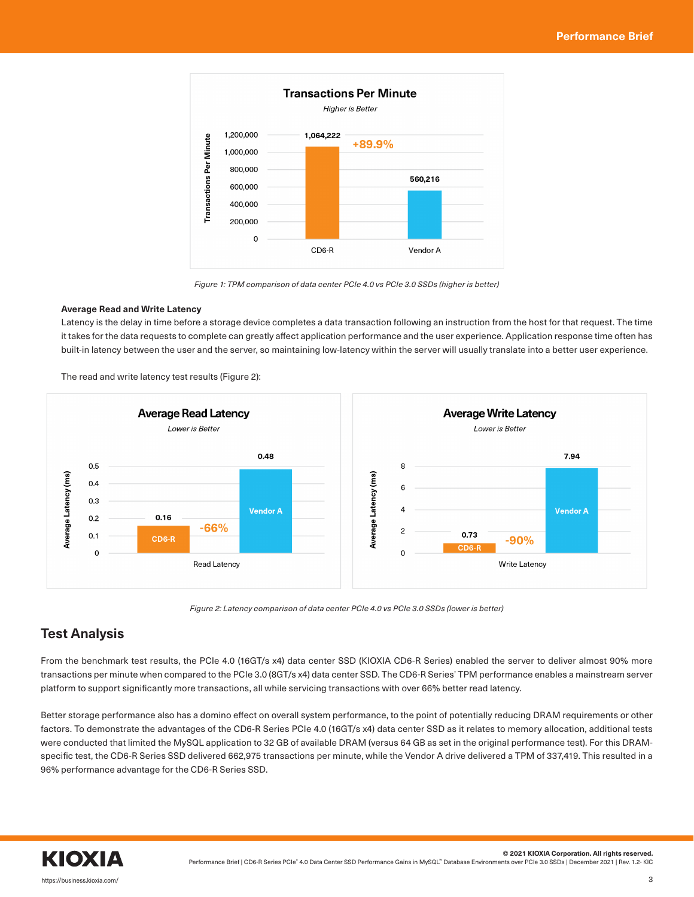

*Figure 1: TPM comparison of data center PCIe 4.0 vs PCIe 3.0 SSDs (higher is better)*

## **Average Read and Write Latency**

Latency is the delay in time before a storage device completes a data transaction following an instruction from the host for that request. The time it takes for the data requests to complete can greatly affect application performance and the user experience. Application response time often has built-in latency between the user and the server, so maintaining low-latency within the server will usually translate into a better user experience.

The read and write latency test results (Figure 2):



*Figure 2: Latency comparison of data center PCIe 4.0 vs PCIe 3.0 SSDs (lower is better)*

# **Test Analysis**

From the benchmark test results, the PCIe 4.0 (16GT/s x4) data center SSD (KIOXIA CD6-R Series) enabled the server to deliver almost 90% more transactions per minute when compared to the PCIe 3.0 (8GT/s x4) data center SSD. The CD6-R Series' TPM performance enables a mainstream server platform to support significantly more transactions, all while servicing transactions with over 66% better read latency.

Better storage performance also has a domino effect on overall system performance, to the point of potentially reducing DRAM requirements or other factors. To demonstrate the advantages of the CD6-R Series PCIe 4.0 (16GT/s x4) data center SSD as it relates to memory allocation, additional tests were conducted that limited the MySQL application to 32 GB of available DRAM (versus 64 GB as set in the original performance test). For this DRAMspecific test, the CD6-R Series SSD delivered 662,975 transactions per minute, while the Vendor A drive delivered a TPM of 337,419. This resulted in a 96% performance advantage for the CD6-R Series SSD.

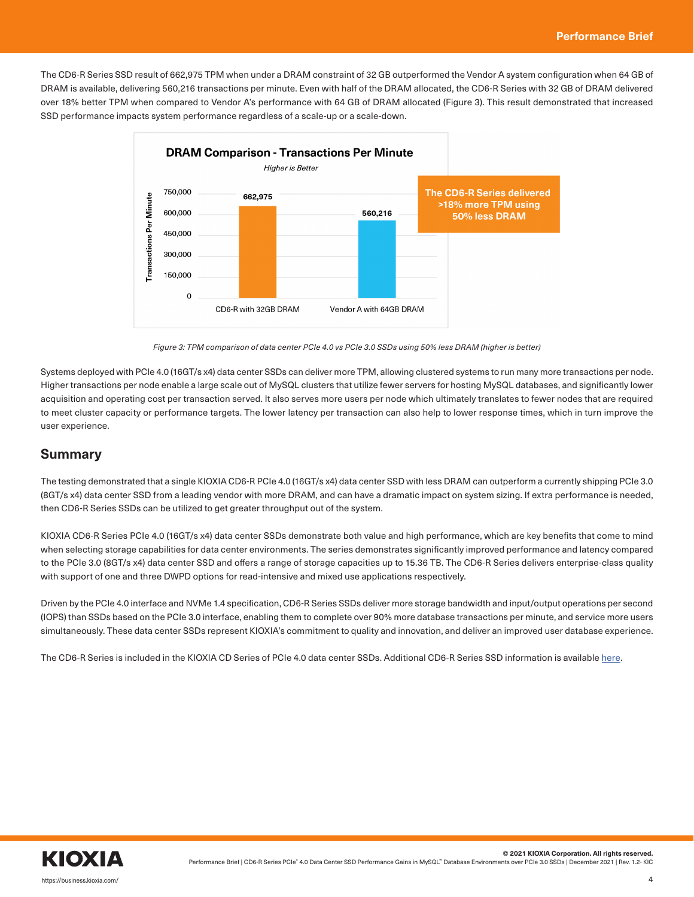The CD6-R Series SSD result of 662,975 TPM when under a DRAM constraint of 32 GB outperformed the Vendor A system configuration when 64 GB of DRAM is available, delivering 560,216 transactions per minute. Even with half of the DRAM allocated, the CD6-R Series with 32 GB of DRAM delivered over 18% better TPM when compared to Vendor A's performance with 64 GB of DRAM allocated (Figure 3). This result demonstrated that increased SSD performance impacts system performance regardless of a scale-up or a scale-down.



*Figure 3: TPM comparison of data center PCIe 4.0 vs PCIe 3.0 SSDs using 50% less DRAM (higher is better)*

Systems deployed with PCIe 4.0 (16GT/s x4) data center SSDs can deliver more TPM, allowing clustered systems to run many more transactions per node. Higher transactions per node enable a large scale out of MySQL clusters that utilize fewer servers for hosting MySQL databases, and significantly lower acquisition and operating cost per transaction served. It also serves more users per node which ultimately translates to fewer nodes that are required to meet cluster capacity or performance targets. The lower latency per transaction can also help to lower response times, which in turn improve the user experience.

## **Summary**

The testing demonstrated that a single KIOXIA CD6-R PCIe 4.0 (16GT/s x4) data center SSD with less DRAM can outperform a currently shipping PCIe 3.0 (8GT/s x4) data center SSD from a leading vendor with more DRAM, and can have a dramatic impact on system sizing. If extra performance is needed, then CD6-R Series SSDs can be utilized to get greater throughput out of the system.

KIOXIA CD6-R Series PCIe 4.0 (16GT/s x4) data center SSDs demonstrate both value and high performance, which are key benefits that come to mind when selecting storage capabilities for data center environments. The series demonstrates significantly improved performance and latency compared to the PCIe 3.0 (8GT/s x4) data center SSD and offers a range of storage capacities up to 15.36 TB. The CD6-R Series delivers enterprise-class quality with support of one and three DWPD options for read-intensive and mixed use applications respectively.

Driven by the PCIe 4.0 interface and NVMe 1.4 specification, CD6-R Series SSDs deliver more storage bandwidth and input/output operations per second (IOPS) than SSDs based on the PCIe 3.0 interface, enabling them to complete over 90% more database transactions per minute, and service more users simultaneously. These data center SSDs represent KIOXIA's commitment to quality and innovation, and deliver an improved user database experience.

The CD6-R Series is included in the KIOXIA CD Series of PCIe 4.0 data center SSDs. Additional CD6-R Series SSD information is available [here.](https://business.kioxia.com/en-us/ssd/data-center-ssd.html)